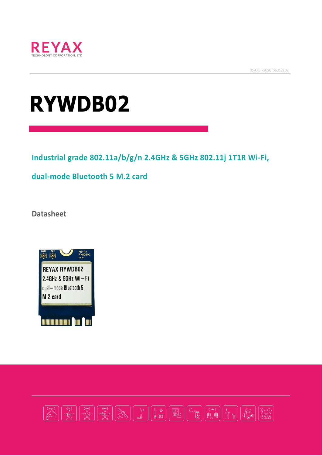

05-OCT-2020 56312E32

# **RYWDB02**

**Industrial grade 802.11a/b/g/n 2.4GHz & 5GHz 802.11j 1T1R Wi-Fi,**

**dual-mode Bluetooth 5 M.2 card**

**Datasheet**



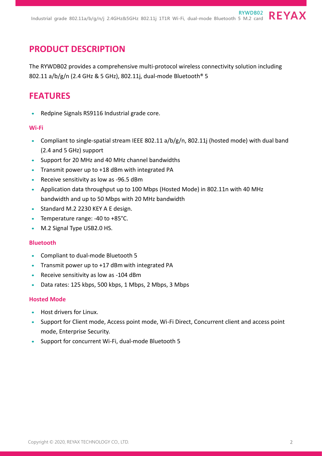#### **PRODUCT DESCRIPTION**

The RYWDB02 provides a comprehensive multi-protocol wireless connectivity solution including 802.11 a/b/g/n (2.4 GHz & 5 GHz), 802.11j, dual-mode Bluetooth® 5

#### **FEATURES**

• Redpine Signals RS9116 Industrial grade core.

#### **Wi-Fi**

- Compliant to single-spatial stream IEEE 802.11 a/b/g/n, 802.11j (hosted mode) with dual band (2.4 and 5 GHz) support
- Support for 20 MHz and 40 MHz channel bandwidths
- Transmit power up to +18 dBm with integrated PA
- Receive sensitivity as low as -96.5 dBm
- Application data throughput up to 100 Mbps (Hosted Mode) in 802.11n with 40 MHz bandwidth and up to 50 Mbps with 20 MHz bandwidth
- Standard M.2 2230 KEY A E design.
- Temperature range: -40 to +85°C.
- M.2 Signal Type USB2.0 HS.

#### **Bluetooth**

- Compliant to dual-mode Bluetooth 5
- Transmit power up to +17 dBm with integrated PA
- Receive sensitivity as low as -104 dBm
- Data rates: 125 kbps, 500 kbps, 1 Mbps, 2 Mbps, 3 Mbps

#### **Hosted Mode**

- Host drivers for Linux.
- Support for Client mode, Access point mode, Wi-Fi Direct, Concurrent client and access point mode, Enterprise Security.
- Support for concurrent Wi-Fi, dual-mode Bluetooth 5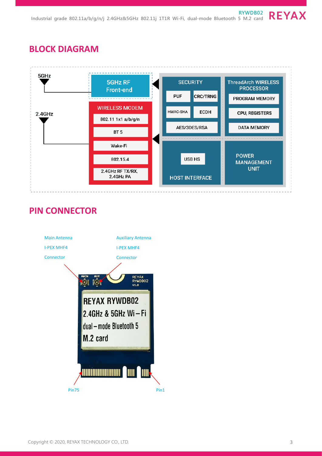## **BLOCK DIAGRAM**



## **PIN CONNECTOR**

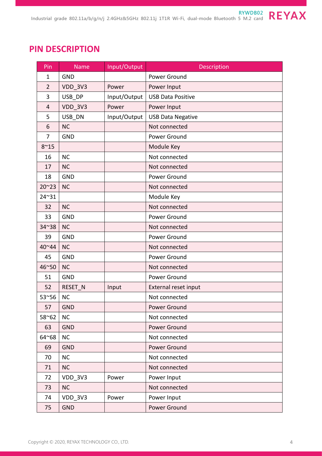# **PIN DESCRIPTION**

| Pin            | <b>Name</b>    | Input/Output | Description              |
|----------------|----------------|--------------|--------------------------|
| $\mathbf{1}$   | <b>GND</b>     |              | Power Ground             |
| $\overline{2}$ | <b>VDD_3V3</b> | Power        | Power Input              |
| 3              | USB DP         | Input/Output | <b>USB Data Positive</b> |
| $\overline{4}$ | <b>VDD 3V3</b> | Power        | Power Input              |
| 5              | USB_DN         | Input/Output | <b>USB Data Negative</b> |
| 6              | <b>NC</b>      |              | Not connected            |
| 7              | <b>GND</b>     |              | Power Ground             |
| $8^{\sim}15$   |                |              | Module Key               |
| 16             | <b>NC</b>      |              | Not connected            |
| 17             | <b>NC</b>      |              | Not connected            |
| 18             | <b>GND</b>     |              | Power Ground             |
| $20^{\sim}23$  | <b>NC</b>      |              | Not connected            |
| 24~31          |                |              | Module Key               |
| 32             | <b>NC</b>      |              | Not connected            |
| 33             | <b>GND</b>     |              | Power Ground             |
| 34~38          | <b>NC</b>      |              | Not connected            |
| 39             | <b>GND</b>     |              | Power Ground             |
| 40~44          | <b>NC</b>      |              | Not connected            |
| 45             | <b>GND</b>     |              | Power Ground             |
| 46~50          | <b>NC</b>      |              | Not connected            |
| 51             | <b>GND</b>     |              | Power Ground             |
| 52             | RESET N        | Input        | External reset input     |
| 53~56          | <b>NC</b>      |              | Not connected            |
| 57             | <b>GND</b>     |              | Power Ground             |
| 58~62          | <b>NC</b>      |              | Not connected            |
| 63             | <b>GND</b>     |              | Power Ground             |
| 64~68          | <b>NC</b>      |              | Not connected            |
| 69             | <b>GND</b>     |              | Power Ground             |
| 70             | <b>NC</b>      |              | Not connected            |
| 71             | <b>NC</b>      |              | Not connected            |
| 72             | VDD_3V3        | Power        | Power Input              |
| 73             | <b>NC</b>      |              | Not connected            |
| 74             | VDD 3V3        | Power        | Power Input              |
| 75             | <b>GND</b>     |              | Power Ground             |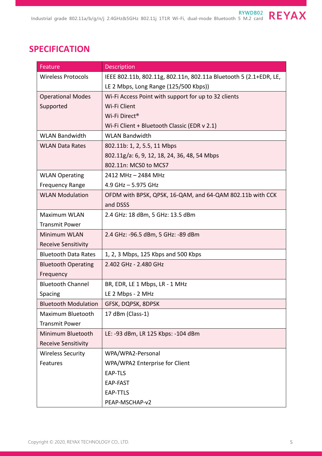## **SPECIFICATION**

| Feature                     | <b>Description</b>                                                |  |  |
|-----------------------------|-------------------------------------------------------------------|--|--|
| <b>Wireless Protocols</b>   | IEEE 802.11b, 802.11g, 802.11n, 802.11a Bluetooth 5 (2.1+EDR, LE, |  |  |
|                             | LE 2 Mbps, Long Range (125/500 Kbps))                             |  |  |
| <b>Operational Modes</b>    | Wi-Fi Access Point with support for up to 32 clients              |  |  |
| Supported                   | Wi-Fi Client                                                      |  |  |
|                             | Wi-Fi Direct <sup>®</sup>                                         |  |  |
|                             | Wi-Fi Client + Bluetooth Classic (EDR v 2.1)                      |  |  |
| <b>WLAN Bandwidth</b>       | <b>WLAN Bandwidth</b>                                             |  |  |
| <b>WLAN Data Rates</b>      | 802.11b: 1, 2, 5.5, 11 Mbps                                       |  |  |
|                             | 802.11g/a: 6, 9, 12, 18, 24, 36, 48, 54 Mbps                      |  |  |
|                             | 802.11n: MCS0 to MCS7                                             |  |  |
| <b>WLAN Operating</b>       | 2412 MHz - 2484 MHz                                               |  |  |
| <b>Frequency Range</b>      | 4.9 GHz $-$ 5.975 GHz                                             |  |  |
| <b>WLAN Modulation</b>      | OFDM with BPSK, QPSK, 16-QAM, and 64-QAM 802.11b with CCK         |  |  |
|                             | and DSSS                                                          |  |  |
| <b>Maximum WLAN</b>         | 2.4 GHz: 18 dBm, 5 GHz: 13.5 dBm                                  |  |  |
| <b>Transmit Power</b>       |                                                                   |  |  |
| <b>Minimum WLAN</b>         | 2.4 GHz: -96.5 dBm, 5 GHz: -89 dBm                                |  |  |
| <b>Receive Sensitivity</b>  |                                                                   |  |  |
| <b>Bluetooth Data Rates</b> | 1, 2, 3 Mbps, 125 Kbps and 500 Kbps                               |  |  |
| <b>Bluetooth Operating</b>  | 2.402 GHz - 2.480 GHz                                             |  |  |
| Frequency                   |                                                                   |  |  |
| <b>Bluetooth Channel</b>    | BR, EDR, LE 1 Mbps, LR - 1 MHz                                    |  |  |
| Spacing                     | LE 2 Mbps - 2 MHz                                                 |  |  |
| <b>Bluetooth Modulation</b> | GFSK, DQPSK, 8DPSK                                                |  |  |
| Maximum Bluetooth           | 17 dBm (Class-1)                                                  |  |  |
| <b>Transmit Power</b>       |                                                                   |  |  |
| Minimum Bluetooth           | LE: -93 dBm, LR 125 Kbps: -104 dBm                                |  |  |
| <b>Receive Sensitivity</b>  |                                                                   |  |  |
| <b>Wireless Security</b>    | WPA/WPA2-Personal                                                 |  |  |
| Features                    | WPA/WPA2 Enterprise for Client                                    |  |  |
|                             | EAP-TLS                                                           |  |  |
|                             | EAP-FAST                                                          |  |  |
|                             | <b>EAP-TTLS</b>                                                   |  |  |
|                             | PEAP-MSCHAP-v2                                                    |  |  |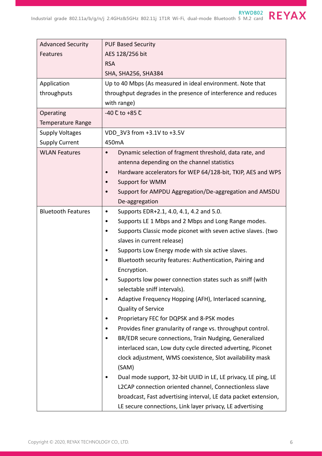| <b>Advanced Security</b>  | <b>PUF Based Security</b>                                                 |  |  |
|---------------------------|---------------------------------------------------------------------------|--|--|
| <b>Features</b>           | AES 128/256 bit                                                           |  |  |
|                           | <b>RSA</b>                                                                |  |  |
|                           | SHA, SHA256, SHA384                                                       |  |  |
| Application               | Up to 40 Mbps (As measured in ideal environment. Note that                |  |  |
| throughputs               | throughput degrades in the presence of interference and reduces           |  |  |
|                           | with range)                                                               |  |  |
| Operating                 | $-40$ C to $+85$ C                                                        |  |  |
| <b>Temperature Range</b>  |                                                                           |  |  |
| <b>Supply Voltages</b>    | VDD 3V3 from +3.1V to +3.5V                                               |  |  |
| <b>Supply Current</b>     | 450mA                                                                     |  |  |
| <b>WLAN Features</b>      | Dynamic selection of fragment threshold, data rate, and<br>$\bullet$      |  |  |
|                           | antenna depending on the channel statistics                               |  |  |
|                           | Hardware accelerators for WEP 64/128-bit, TKIP, AES and WPS               |  |  |
|                           | Support for WMM                                                           |  |  |
|                           | Support for AMPDU Aggregation/De-aggregation and AMSDU                    |  |  |
|                           | De-aggregation                                                            |  |  |
| <b>Bluetooth Features</b> | Supports EDR+2.1, 4.0, 4.1, 4.2 and 5.0.<br>٠                             |  |  |
|                           | Supports LE 1 Mbps and 2 Mbps and Long Range modes.<br>٠                  |  |  |
|                           | Supports Classic mode piconet with seven active slaves. (two<br>$\bullet$ |  |  |
|                           | slaves in current release)                                                |  |  |
|                           | Supports Low Energy mode with six active slaves.                          |  |  |
|                           | Bluetooth security features: Authentication, Pairing and                  |  |  |
|                           | Encryption.                                                               |  |  |
|                           | Supports low power connection states such as sniff (with                  |  |  |
|                           | selectable sniff intervals).                                              |  |  |
|                           | Adaptive Frequency Hopping (AFH), Interlaced scanning,                    |  |  |
|                           | Quality of Service                                                        |  |  |
|                           | Proprietary FEC for DQPSK and 8-PSK modes                                 |  |  |
|                           | Provides finer granularity of range vs. throughput control.               |  |  |
|                           | BR/EDR secure connections, Train Nudging, Generalized                     |  |  |
|                           | interlaced scan, Low duty cycle directed adverting, Piconet               |  |  |
|                           | clock adjustment, WMS coexistence, Slot availability mask                 |  |  |
|                           | (SAM)                                                                     |  |  |
|                           | Dual mode support, 32-bit UUID in LE, LE privacy, LE ping, LE             |  |  |
|                           | L2CAP connection oriented channel, Connectionless slave                   |  |  |
|                           | broadcast, Fast advertising interval, LE data packet extension,           |  |  |
|                           | LE secure connections, Link layer privacy, LE advertising                 |  |  |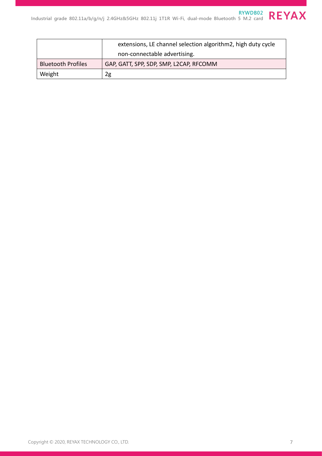|                           | extensions, LE channel selection algorithm2, high duty cycle |
|---------------------------|--------------------------------------------------------------|
|                           | non-connectable advertising.                                 |
| <b>Bluetooth Profiles</b> | GAP, GATT, SPP, SDP, SMP, L2CAP, RFCOMM                      |
| Weight                    | 2g                                                           |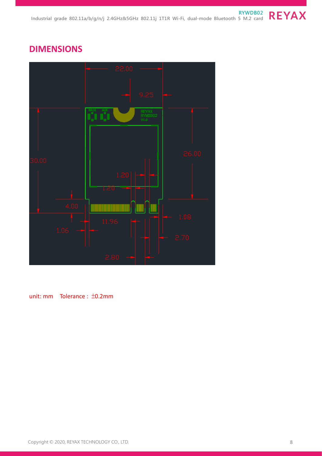## **DIMENSIONS**



unit: mm Tolerance : ±0.2mm